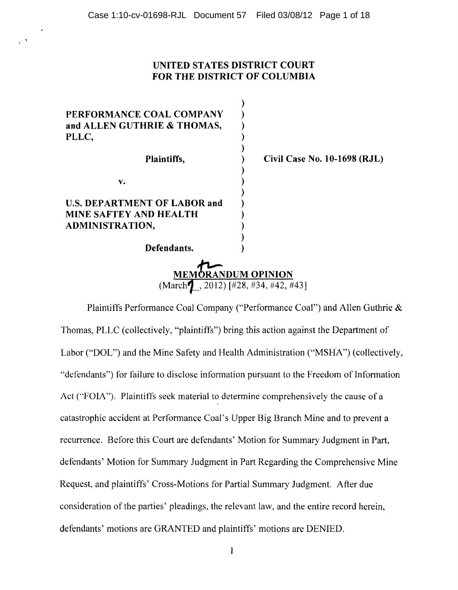$\cdot$   $\cdot$ 

# UNITED STATES DISTRICT COURT FOR THE DISTRICT OF COLUMBIA

| PERFORMANCE COAL COMPANY<br>and ALLEN GUTHRIE & THOMAS,<br>PLLC, |                                                                               |
|------------------------------------------------------------------|-------------------------------------------------------------------------------|
| Plaintiffs,                                                      | Civil Case No. 10-1698 (RJL)                                                  |
| v.                                                               |                                                                               |
| <b>U.S. DEPARTMENT OF LABOR and</b>                              |                                                                               |
| MINE SAFTEY AND HEALTH                                           |                                                                               |
| ADMINISTRATION,                                                  |                                                                               |
|                                                                  |                                                                               |
| Defendants.                                                      |                                                                               |
|                                                                  | <b>MEMORANDUM OPINION</b><br>(March $\mathbf{1}$ , 2012) [#28, #34, #42, #43] |

Plaintiffs Performance Coal Company ("Performance Coal") and Allen Guthrie & Thomas, PLLC (collectively, "plaintiffs") bring this action against the Department of Labor ("DOL") and the Mine Safety and Health Administration ("MSHA") (collectively, "defendants") for failure to disclose information pursuant to the Freedom of Information Act ("FOIA"). Plaintiffs seek material to determine comprehensively the cause of a catastrophic accident at Performance Coal's Upper Big Branch Mine and to prevent a recurrence. Before this Court are defendants' Motion for Summary Judgment in Part, defendants' Motion for Summary Judgment in Part Regarding the Comprehensive Mine Request, and plaintiffs' Cross-Motions for Partial Summary Judgment. After due consideration of the parties' pleadings, the relevant law, and the entire record herein, defendants' motions are GRANTED and plaintiffs' motions are DENIED.

 $\mathbf{1}$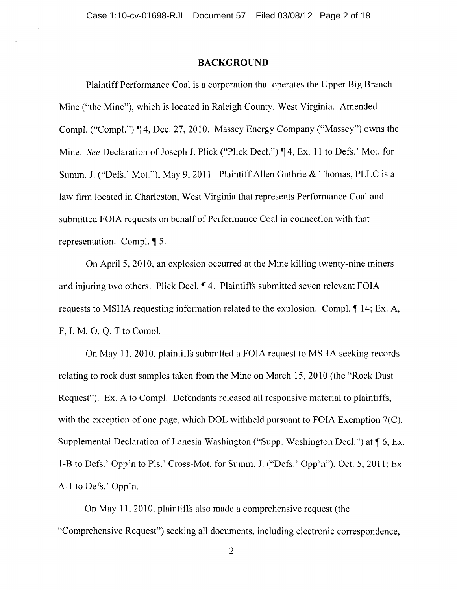#### **BACKGROUND**

Plaintiff Performance Coal is a corporation that operates the Upper Big Branch Mine ("the Mine"), which is located in Raleigh County, West Virginia. Amended Compl. ("Compl.") ¶ 4, Dec. 27, 2010. Massey Energy Company ("Massey") owns the Mine. *See* Declaration of Joseph J. Plick ("Plick Decl.") ¶ 4, Ex. 11 to Defs.' Mot. for Summ. J. ("Defs.' Mot."), May 9, 201l. Plaintiff Allen Guthrie & Thomas, PLLC is a law firm located in Charleston, West Virginia that represents Performance Coal and submitted FOIA requests on behalf of Performance Coal in connection with that representation. Compl.  $\P$  5.

On April 5, 2010, an explosion occurred at the Mine killing twenty-nine miners and injuring two others. Plick Decl.  $\P$  4. Plaintiffs submitted seven relevant FOIA requests to MSHA requesting information related to the explosion. Compl.  $\P$  14; Ex. A, F, I, M, 0, Q, T to Compl.

On May 11, 2010, plaintiffs submitted a FOIA request to MSHA seeking records relating to rock dust samples taken from the Mine on March 15, 2010 (the "Rock Dust Request"). Ex. A to CompI. Defendants released all responsive material to plaintiffs, with the exception of one page, which DOL withheld pursuant to FOIA Exemption 7(C). Supplemental Declaration of Lanesia Washington ("Supp. Washington Decl.") at  $\P$  6, Ex. I-B to Defs.' Opp'n to PIs.' Cross-Mot. for Summ. J. ("Defs.' Opp'n"), Oct. 5,2011; Ex. A-I to Defs.' Opp'n.

On May 11,2010, plaintiffs also made a comprehensive request (the "Comprehensive Request") seeking all documents, including electronic correspondence,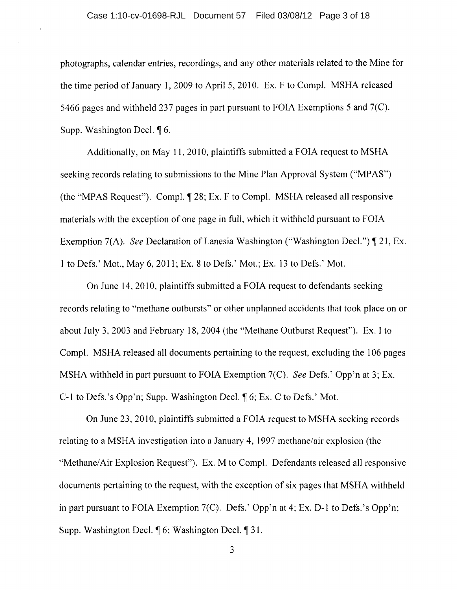photographs, calendar entries, recordings, and any other materials related to the Mine for the time period of January 1, 2009 to April 5, 2010. Ex. F to CompI. MSHA released 5466 pages and withheld 237 pages in part pursuant to FOIA Exemptions 5 and 7(C). Supp. Washington Decl.  $\P$  6.

Additionally, on May 11,2010, plaintiffs submitted a FOIA request to MSHA seeking records relating to submissions to the Mine Plan Approval System ("MPAS") (the "MPAS Request"). Compl.  $\P$  28; Ex. F to Compl. MSHA released all responsive materials with the exception of one page in full, which it withheld pursuant to FOIA Exemption 7(A). *See* Declaration of Lanesia Washington ("Washington Decl.") 1 21, Ex. 1 to Defs.' Mot., May 6, 2011; Ex. 8 to Defs.' Mot.; Ex. 13 to Defs.' Mot.

On June 14, 2010, plaintiffs submitted a FOIA request to defendants seeking records relating to "methane outbursts" or other unplanned accidents that took place on or about July 3, 2003 and February 18,2004 (the "Methane Outburst Request"). Ex. I to CompI. MSHA released all documents pertaining to the request, excluding the 106 pages MSHA withheld in part pursuant to FOIA Exemption 7(C). *See* Defs.' Opp'n at 3; Ex. C-1 to Defs.'s Opp'n; Supp. Washington Decl.  $\parallel$  6; Ex. C to Defs.' Mot.

On June 23, 2010, plaintiffs submitted a FOIA request to MSHA seeking records relating to a MSHA investigation into a January 4, 1997 methane/air explosion (the "Methane/Air Explosion Request"). Ex. M to CompI. Defendants released all responsive documents pertaining to the request, with the exception of six pages that MSHA withheld in part pursuant to FOIA Exemption 7(C). Defs.' Opp'n at 4; Ex. D-l to Defs.'s Opp'n; Supp. Washington Decl.  $\oint$  6; Washington Decl.  $\oint$  31.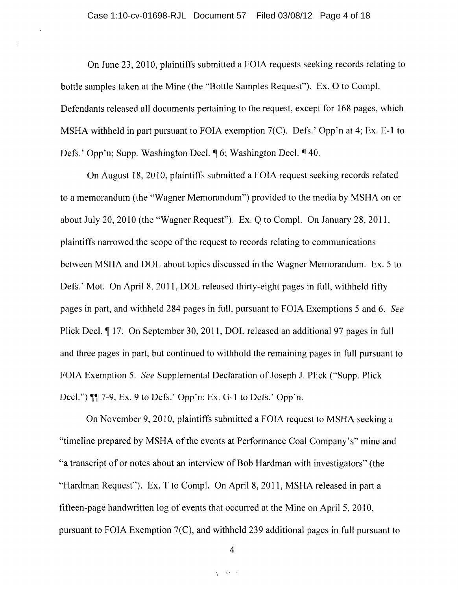On June 23, 2010, plaintiffs submitted a FOIA requests seeking records relating to bottle samples taken at the Mine (the "Bottle Samples Request"). Ex. 0 to CompI. Defendants released all documents pertaining to the request, except for 168 pages, which MSHA withheld in part pursuant to FOIA exemption 7(C). Defs.' Opp'n at 4; Ex. E-I to Defs.' Opp'n; Supp. Washington Decl.  $\phi$  6; Washington Decl.  $\phi$  40.

On August 18, 2010, plaintiffs submitted a FOIA request seeking records related to a memorandum (the "Wagner Memorandum") provided to the media by MSHA on or about July 20, 2010 (the "Wagner Request"). Ex. Q to CompI. On January 28, 2011, plaintiffs narrowed the scope of the request to records relating to communications between MSHA and DOL about topics discussed in the Wagner Memorandum. Ex. 5 to Defs.' Mot. On April 8, **2011,** DOL released thirty-eight pages in full, withheld fifty pages in part, and withheld 284 pages in full, pursuant to FOIA Exemptions 5 and 6. *See*  Plick Decl.  $\parallel$  17. On September 30, 2011, DOL released an additional 97 pages in full and three pages in part, but continued to withhold the remaining pages in full pursuant to FOIA Exemption 5. *See* Supplemental Dedaration of Joseph J. Plick ("Supp. Plick Decl.")  $\P\P$  7-9, Ex. 9 to Defs.' Opp'n; Ex. G-1 to Defs.' Opp'n.

On November 9,2010, plaintiffs submitted a FOIA request to MSHA seeking a "timeline prepared by MSHA of the events at Performance Coal Company's" mine and "a transcript of or notes about an interview of Bob Hardman with investigators" (the "Hardman Request"). Ex. T to CompI. On April 8, **2011,** MSHA released in part a fifteen-page handwritten log of events that occurred at the Mine on April 5, 2010, pursuant to FOIA Exemption 7(C), and withheld 239 additional pages in fulI pursuant to

4

 $\epsilon_{\rm p} = 400$  km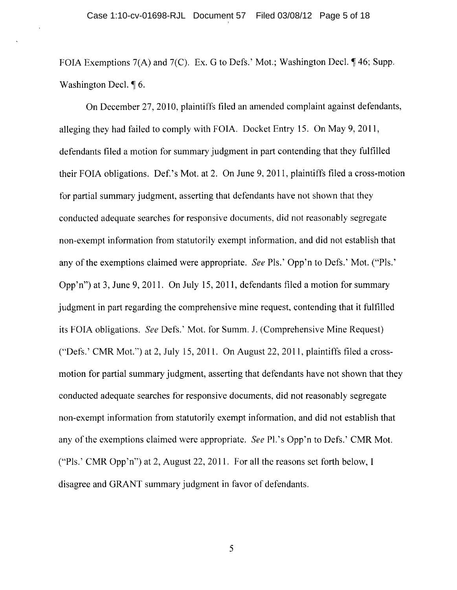FOIA Exemptions  $7(A)$  and  $7(C)$ . Ex. G to Defs.' Mot.; Washington Decl.  $\P$  46; Supp. Washington Decl.  $\P$  6.

On December 27, 2010, plaintiffs filed an amended complaint against defendants, alleging they had failed to comply with FO IA. Docket Entry 15. On May 9, **2011,**  defendants filed a motion for summary judgment in part contending that they fulfilled their FOIA obligations. Def.'s Mot. at 2. On June 9, 2011, plaintiffs filed a cross-motion for partial summary judgment, asserting that defendants have not shown that they conducted adequate searches for responsive documents, did not reasonably segregate non-exempt information from statutorily exempt information, and did not establish that any of the exemptions claimed were appropriate. *See* PIs.' Opp'n to Defs.' Mot. ("PIs.' Opp'n") at 3, June 9, 2011. On July 15,2011, defendants filed a motion for summary judgment in part regarding the comprehensive mine request, contending that it fulfilled its FOIA obligations. *See* Defs.' Mot. for Summ. 1. (Comprehensive Mine Request) ("Defs.' CMR Mot.") at 2, July 15,2011. On August 22, 2011, plaintiffs filed a crossmotion for partial summary judgment, asserting that defendants have not shown that they conducted adequate searches for responsive documents, did not reasonably segregate non-exempt information from statutorily exempt information, and did not establish that any of the exemptions claimed were appropriate. *See* Pl.'s Opp'n to Defs.' CMR Mot. ("PIs.' CMR Opp'n") at 2, August 22,2011. For all the reasons set forth below, I disagree and GRANT summary judgment in favor of defendants.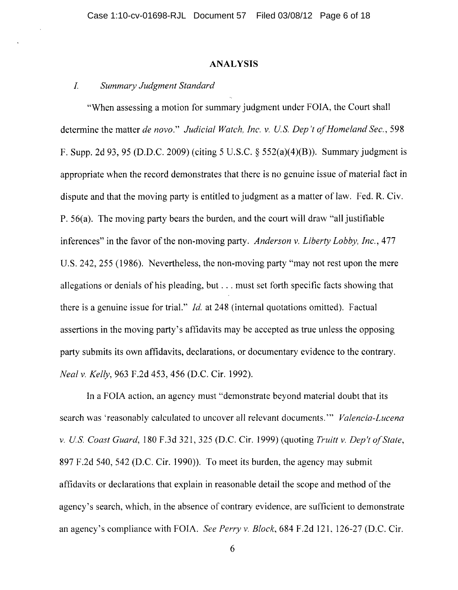#### **ANALYSIS**

#### *1. Summary Judgment Standard*

"When assessing a motion for summary judgment under FOIA, the Court shall determine the matter *de novo." Judicial Watch, Inc.* v. *Us. Dep 't of Homeland Sec., 598*  F. Supp. 2d 93, 95 (D.D.C. 2009) (citing 5 U.S.C.  $\S$  552(a)(4)(B)). Summary judgment is appropriate when the record demonstrates that there is no genuine issue of material fact in dispute and that the moving party is entitled to judgment as a matter of law. Fed. R. Civ. P. 56(a). The moving party bears the burden, and the court will draw "all justifiable inferences" in the favor of the non-moving party. *Anderson* v. *Liberty Lobby, Inc.,* 477 U.S. 242, 255 (1986). Nevertheless, the non-moving party "may not rest upon the mere allegations or denials of his pleading, but ... must set forth specific facts showing that there is a genuine issue for trial." *Id.* at 248 (internal quotations omitted). Factual assertions in the moving party's affidavits may be accepted as true unless the opposing party submits its own affidavits, declarations, or documentary evidence to the contrary. *Neal* v. *Kelly,* 963 F .2d 453, 456 (D.C. Cir. 1992).

In a FOIA action, an agency must "demonstrate beyond material doubt that its search was 'reasonably calculated to uncover all relevant documents.'" *Valencia-Lucena*  v. *Us. Coast Guard,* 180 F.3d 321,325 (D.C. Cir. 1999) (quoting *Truitt* v. *Dep't of State,*  897 F.2d 540, 542 (D.C. Cir. 1990)). To meet its burden, the agency may submit affidavits or declarations that explain in reasonable detail the scope and method of the agency's search, which, in the absence of contrary evidence, are sufficient to demonstrate an agency's compliance with FOIA. *See Perry* v. *Block,* 684 F.2d 121, 126-27 (D.C. Cir.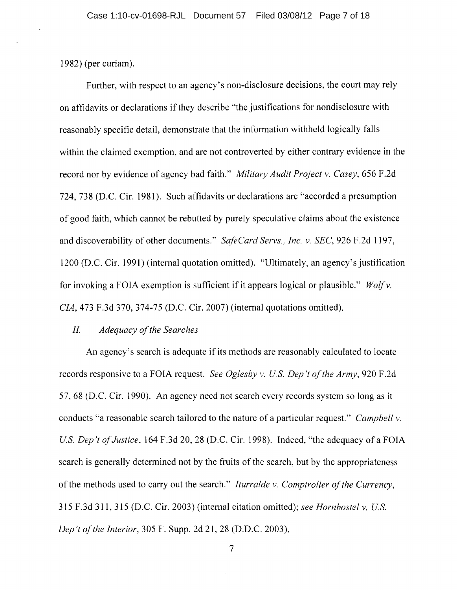1982) (per curiam).

Further, with respect to an agency's non-disclosure decisions, the court may rely on affidavits or declarations if they describe "the justifications for nondisclosure with reasonably specific detail, demonstrate that the information withheld logically falls within the claimed exemption, and are not controverted by either contrary evidence in the record nor by evidence of agency bad faith." *Military Audit Project* v. *Casey,* 656 F.2d 724, 738 (D.C. Cir. 1981). Such affidavits or declarations are "accorded a presumption of good faith, which cannot be rebutted by purely speculative claims about the existence and discoverability of other documents." *Safe Card Servs., Inc.* v. *SEC,* 926 F .2d 1197, 1200 (D.C. Cir. 1991) (internal quotation omitted). "Ultimately, an agency's justification for invoking a FOIA exemption is sufficient if it appears logical or plausible." *Wolfv*. *CIA,* 473 F.3d 370, 374-75 (D.C. Cir. 2007) (internal quotations omitted).

#### 11. *Adequacy of the Searches*

An agency's search is adequate if its methods are reasonably calculated to locate records responsive to a FOIA request. *See Oglesby* v. *us. Dep* 't *of the Army,* 920 F.2d 57, 68 (D.C. Cir. 1990). An agency need not search every records system so long as it conducts "a reasonable search tailored to the nature of a particular request." *Campbell* v. *U.S. Dep't of Justice,* 164 F.3d 20, 28 (D.C. Cir. 1998). Indeed, "the adequacy of a FOIA search is generally determined not by the fruits of the search, but by the appropriateness of the methods used to carry out the search." *Iturralde* v. *Comptroller of the Currency,*  315 F.3d 311, 315 (D.C. Cir. 2003) (internal citation omitted); *see Hornbostel* v. *Us. Dep't of the Interior, 305 F. Supp. 2d 21, 28 (D.D.C. 2003).*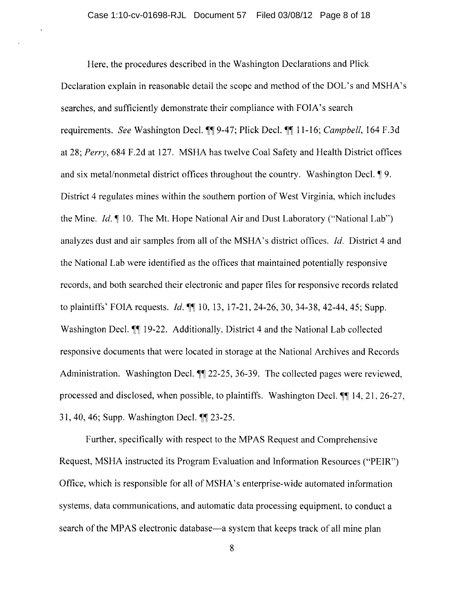Here, the procedures described in the Washington Declarations and Plick Declaration explain in reasonable detail the scope and method of the DOL's and MSHA's searches, and sufficiently demonstrate their compliance with FOIA's search requirements. *See* Washington Decl. ¶¶ 9-47; Plick Decl. ¶¶ 11-16; *Campbell*, 164 F.3d at 28; *Perry,* 684 F.2d at 127. MSHA has twelve Coal Safety and Health District offices and six metal/nonmetal district offices throughout the country. Washington Decl.  $\P$ 9. District 4 regulates mines within the southern portion of West Virginia, which includes the Mine.  $Id. \P$  10. The Mt. Hope National Air and Dust Laboratory ("National Lab") analyzes dust and air samples from all of the MSHA's district offices. Jd. District 4 and the National Lab were identified as the offices that maintained potentially responsive records, and both searched their electronic and paper files for responsive records related to plaintiffs' FOIA requests. *Id.*  $\P\P$  10, 13, 17-21, 24-26, 30, 34-38, 42-44, 45; Supp. Washington Decl.  $\P$  19-22. Additionally, District 4 and the National Lab collected responsive documents that were located in storage at the National Archives and Records Administration. Washington Decl.  $\P$  22-25, 36-39. The collected pages were reviewed, processed and disclosed, when possible, to plaintiffs. Washington Decl.  $\P\P$  14, 21, 26-27, 31, 40, 46; Supp. Washington Decl.  $\P$ [23-25.

Further, specifically with respect to the MPAS Request and Comprehensive Request, MSHA instructed its Program Evaluation and Information Resources ("PEIR") Office, which is responsible for all of MSHA's enterprise-wide automated information systems, data communications, and automatic data processing equipment, to conduct a search of the MPAS electronic database—a system that keeps track of all mine plan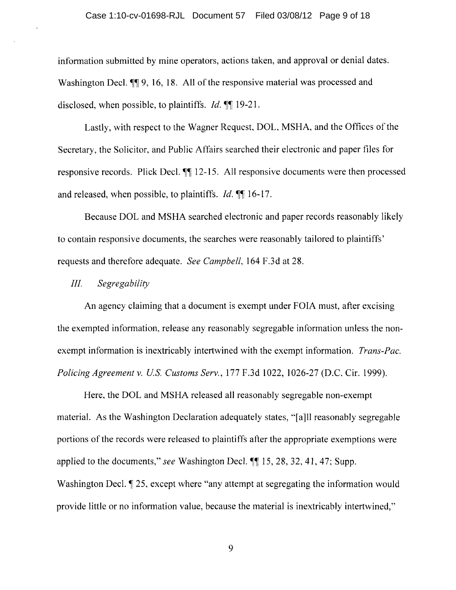information submitted by mine operators, actions taken, and approval or denial dates. Washington Decl.  $\P$ 9, 16, 18. All of the responsive material was processed and disclosed, when possible, to plaintiffs. *Id.*  $\P$  19-21.

Lastly, with respect to the Wagner Request, DOL, MSHA, and the Offices of the Secretary, the Solicitor, and Public Affairs searched their electronic and paper files for responsive records. Plick Decl.  $\P\P$  12-15. All responsive documents were then processed and released, when possible, to plaintiffs.  $Id$ .  $\mathbb{I}$  16-17.

Because DOL and MSHA searched electronic and paper records reasonably likely to contain responsive documents, the searches were reasonably tailored to plaintiffs' requests and therefore adequate. *See Campbell,* 164 F.3d at 28.

### *III. Segregability*

An agency claiming that a document is exempt under FOIA must, after excising the exempted information, release any reasonably segregable information unless the nonexempt information is inextricably intertwined with the exempt information. *Trans-Pac. Policing Agreement* v. *Us. Customs Serv.,* 177 F .3d 1022, 1026-27 (D.C. Cir. 1999).

Here, the DOL and MSHA released all reasonably segregable non-exempt material. As the Washington Declaration adequately states, "[a]ll reasonably segregable portions of the records were released to plaintiffs after the appropriate exemptions were applied to the documents," *see* Washington Decl.  $\P$  15, 28, 32, 41, 47; Supp. Washington Decl.  $\parallel$  25, except where "any attempt at segregating the information would provide little or no information value, because the material is inextricably intertwined,"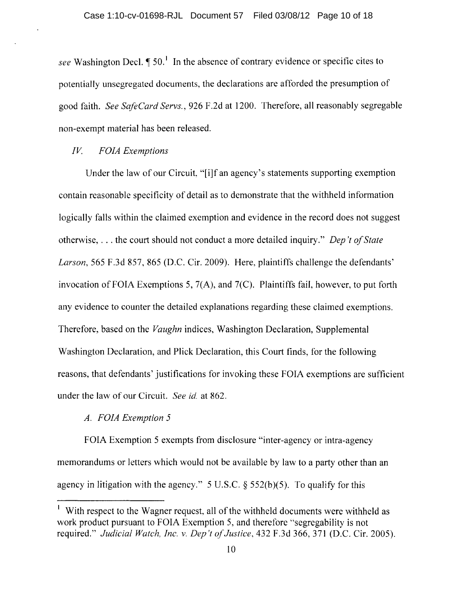*see* Washington Decl.  $\P 50$ . In the absence of contrary evidence or specific cites to potentially unsegregated documents, the declarations are afforded the presumption of good faith. *See SafeCard Servs.,* 926 F.2d at 1200. Therefore, all reasonably segregable non-exempt material has been released.

# *IV. FOIA Exemptions*

Under the law of our Circuit, "[i]f an agency's statements supporting exemption contain reasonable specificity of detail as to demonstrate that the withheld information logically falls within the claimed exemption and evidence in the record does not suggest otherwise, ... the court should not conduct a more detailed inquiry." *Dep 't of State Larson,* 565 F.3d 857, 865 (D.C. Cir. 2009). Here, plaintiffs challenge the defendants' invocation of FOIA Exemptions 5,  $7(A)$ , and  $7(C)$ . Plaintiffs fail, however, to put forth any evidence to counter the detailed explanations regarding these claimed exemptions. Therefore, based on the *Vaughn* indices, Washington Declaration, Supplemental Washington Declaration, and Plick Declaration, this Court finds, for the following reasons, that defendants' justifications for invoking these FOIA exemptions are sufficient under the law of our Circuit. *See id.* at 862.

## *A. FOIA Exemption 5*

FOIA Exemption 5 exempts from disclosure "inter-agency or intra-agency memorandums or letters which would not be available by law to a party other than an agency in litigation with the agency." 5 U.S.C.  $\S$  552(b)(5). To qualify for this

<sup>&</sup>lt;sup>1</sup> With respect to the Wagner request, all of the withheld documents were withheld as work product pursuant to FOIA Exemption 5, and therefore "segregability is not required." *Judicial Watch, Inc.* v. *Dep 't of Justice,* 432 F.3d 366, 371 (D.C. Cir. 2005).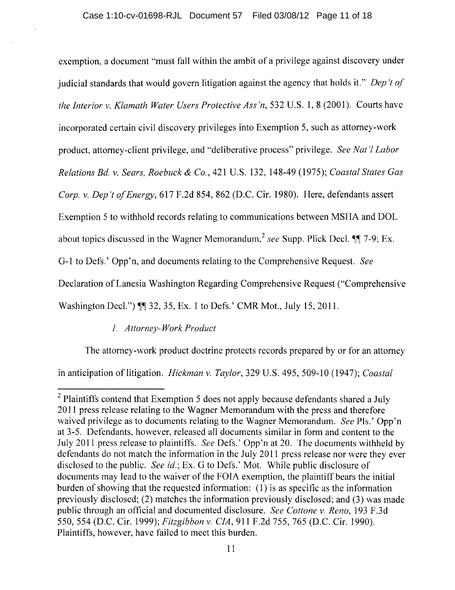exemption, a document "must fall within the ambit of a privilege against discovery under judicial standards that would govern litigation against the agency that holds it." *Dep* 't *of the Interior v. Klamath Water Users Protective Ass'n,* 532 U.S. 1, 8 (2001). Courts have incorporated certain civil discovery privileges into Exemption 5, such as attorney-work product, attorney-client privilege, and "deliberative process" privilege. *See Nat* 'I *Labor Relations Bd. v. Sears, Roebuck* & *Co.,* 421 U.S. 132, 148-49 (1975); *Coastal States Gas Corp. v. Dep 't of Energy,* 617 F.2d 854, 862 (D.C. Cir. 1980). Here, defendants assert Exemption 5 to withhold records relating to communications between MSHA and DOL about topics discussed in the Wagner Memorandum,<sup>2</sup> see Supp. Plick Decl.  $\P\P$  7-9; Ex. 0-1 to Defs.' Opp'n, and documents relating to the Comprehensive Request. *See*  Declaration of Lanesia Washington Regarding Comprehensive Request ("Comprehensive Washington Decl.")  $\P$  32, 35, Ex. 1 to Defs.' CMR Mot., July 15, 2011.

# *1. Attorney-Work Product*

The attorney-work product doctrine protects records prepared by or for an attorney in anticipation of litigation. *Hickman v. Taylor,* 329 U.S. 495, 509-10 (1947); *Coastal* 

<sup>&</sup>lt;sup>2</sup> Plaintiffs contend that Exemption 5 does not apply because defendants shared a July **2011** press release relating to the Wagner Memorandum with the press and therefore waived privilege as to documents relating to the Wagner Memorandum. *See* PIs.' Opp'n at 3-5. Defendants, however, released all documents similar in form and content to the July 2011 press release to plaintiffs. *See* Defs.' Opp'n at 20. The documents withheld by defendants do not match the information in the July 2011 press release nor were they ever disclosed to the public. *See id.*; Ex. G to Defs.' Mot. While public disclosure of documents may lead to the waiver of the FOIA exemption, the plaintiff bears the initial burden of showing that the requested information: (I) is as specific as the information previously disclosed; (2) matches the information previously disclosed; and (3) was made public through an official and documented disclosure. *See Cottone v. Reno,* 193 F.3d 550,554 (D.C. Cir. 1999); *Fitzgibbon v. CIA,* 911 F.2d 755, 765 (D.C. Cir. 1990). Plaintiffs, however, have failed to meet this burden.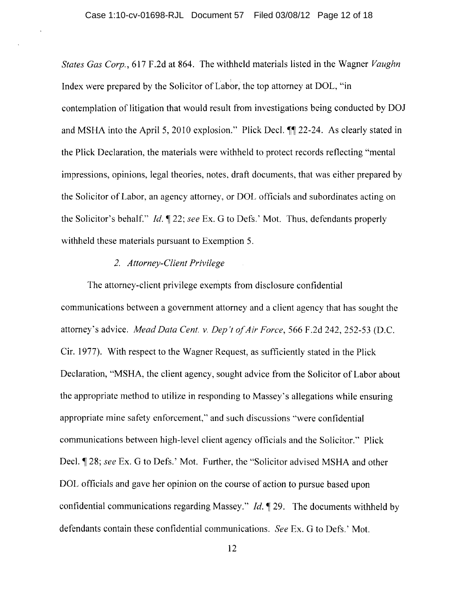*States Gas Corp.,* 617 F.2d at 864. The withheld materials listed in the Wagner *Vaughn*  Index were prepared by the Solicitor of Labor, the top attorney at DOL, "in contemplation of litigation that would result from investigations being conducted by DOl and MSHA into the April 5, 2010 explosion." Plick Decl.  $\mathbb{I}$  22-24. As clearly stated in the Plick Declaration, the materials were withheld to protect records reflecting "mental impressions, opinions, legal theories, notes, draft documents, that was either prepared by the Solicitor of Labor, an agency attorney, or DOL officials and subordinates acting on the Solicitor's behalf." *Id.*  $\llbracket 22$ ; *see* Ex. G to Defs.' Mot. Thus, defendants properly withheld these materials pursuant to Exemption 5.

### *2. Attorney-Client Privilege*

The attorney-client privilege exempts from disclosure confidential communications between a government attorney and a client agency that has sought the attorney's advice. *Mead Data Cent.* v. *Dep 't of Air Force,* 566 F.2d 242, 252-53 (D.C. Cir. 1977). With respect to the Wagner Request, as sufficiently stated in the Plick Declaration, "MSHA, the client agency, sought advice from the Solicitor of Labor about the appropriate method to utilize in responding to Massey's allegations while ensuring appropriate mine safety enforcement," and such discussions "were confidential communications between high-level client agency officials and the Solicitor." Plick Decl.  $\parallel$  28; *see* Ex. G to Defs.' Mot. Further, the "Solicitor advised MSHA and other DOL officials and gave her opinion on the course of action to pursue based upon confidential communications regarding Massey." *Id.* 19. The documents withheld by defendants contain these confidential communications. *See* Ex. G to Defs.' Mot.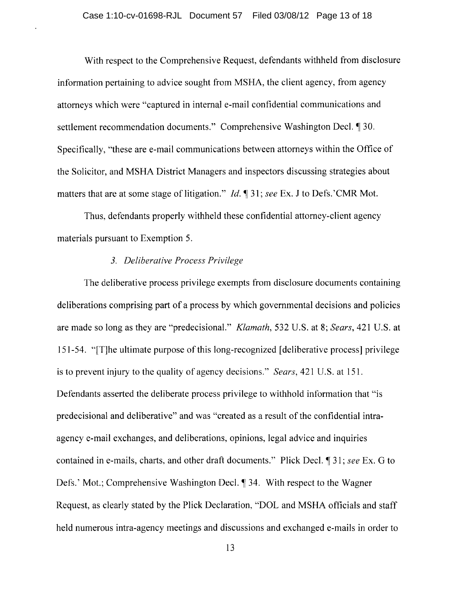With respect to the Comprehensive Request, defendants withheld from disclosure information pertaining to advice sought from MSHA, the client agency, from agency attorneys which were "captured in internal e-mail confidential communications and settlement recommendation documents." Comprehensive Washington Decl. [1] 30. Specifically, "these are e-mail communications between attorneys within the Office of the Solicitor, and MSHA District Managers and inspectors discussing strategies about matters that are at some stage of litigation." *Id.* 1 31; *see* Ex. J to Defs. 'CMR Mot.

Thus, defendants properly withheld these confidential attorney-client agency materials pursuant to Exemption 5.

## *3. Deliberative Process Privilege*

The deliberative process privilege exempts from disclosure documents containing deliberations comprising part of a process by which governmental decisions and policies are made so long as they are "predecisional." *Klamath,* 532 U.S. at 8; *Sears,* 421 U.S. at 151-54. "[T]he ultimate purpose of this long-recognized [ deliberative process] privilege is to prevent injury to the quality of agency decisions." *Sears,* 421 U.S. at 151. Defendants asserted the deliberate process privilege to withhold information that "is predecisional and deliberative" and was "created as a result of the confidential intraagency e-mail exchanges, and deliberations, opinions, legal advice and inquiries contained in e-mails, charts, and other draft documents." Plick Decl. ¶ 31; *see* Ex. G to Defs.' Mot.; Comprehensive Washington Decl. ¶ 34. With respect to the Wagner Request, as clearly stated by the Plick Declaration, "DOL and MSHA officials and staff held numerous intra-agency meetings and discussions and exchanged e-mails in order to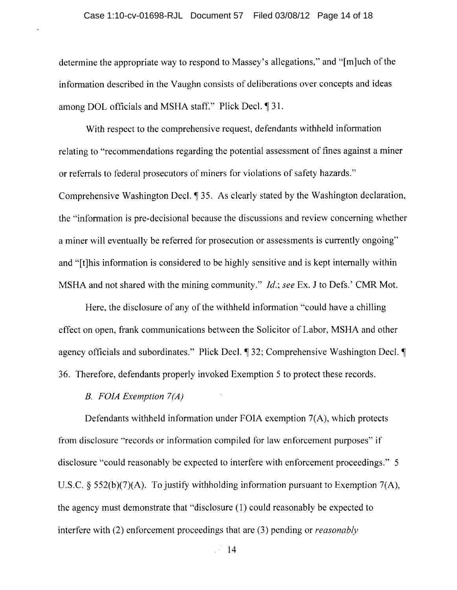determine the appropriate way to respond to Massey's allegations," and "[m]uch of the information described in the Vaughn consists of deliberations over concepts and ideas among DOL officials and MSHA staff." Plick Decl.  $\P$ 31.

With respect to the comprehensive request, defendants withheld information relating to "recommendations regarding the potential assessment of fines against a miner or referrals to federal prosecutors of miners for violations of safety hazards." Comprehensive Washington Decl. ¶ 35. As clearly stated by the Washington declaration, the "information is pre-decisional because the discussions and review concerning whether a miner will eventually be referred for prosecution or assessments is currently ongoing" and "[t]his information is considered to be highly sensitive and is kept internally within MSHA and not shared with the mining community." *Jd.; see* Ex. J to Defs.' CMR Mot.

Here, the disclosure of any of the withheld information "could have a chilling effect on open, frank communications between the Solicitor of Labor, MSHA and other agency officials and subordinates." Plick Decl.  $\P$  32; Comprehensive Washington Decl.  $\P$ 36. Therefore, defendants properly invoked Exemption 5 to protect these records.

#### B. *FOJA Exemption 7(A)*

Defendants withheld information under FOIA exemption 7(A), which protects from disclosure "records or information compiled for law enforcement purposes" if disclosure "could reasonably be expected to interfere with enforcement proceedings." 5 U.S.C. § 552(b)(7)(A). To justify withholding information pursuant to Exemption 7(A), the agency must demonstrate that "disclosure (1) could reasonably be expected to interfere with (2) enforcement proceedings that are (3) pending or *reasonably*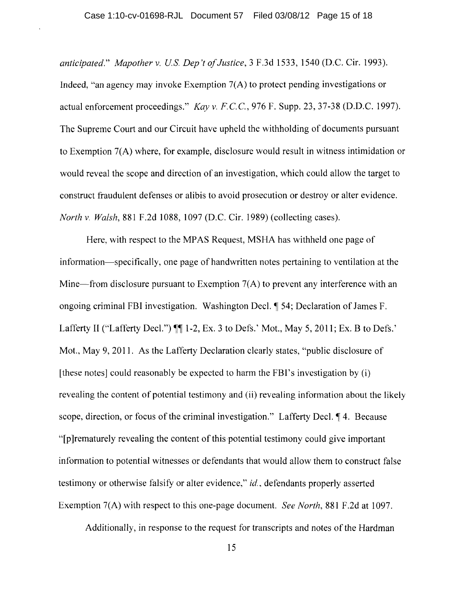*anticipated." Mapother* v. *Us. Dep't of Justice,* 3 F .3d 1533, 1540 (D.C. Cir. 1993). Indeed, "an agency may invoke Exemption *7(A)* to protect pending investigations or actual enforcement proceedings." *Kay* v. *F.CC,* 976 F. Supp. 23, 37-38 (D.D.C. 1997). The Supreme Court and our Circuit have upheld the withholding of documents pursuant to Exemption *7(A)* where, for example, disclosure would result in witness intimidation or would reveal the scope and direction of an investigation, which could allow the target to construct fraudulent defenses or alibis to avoid prosecution or destroy or alter evidence. *North* v. *Walsh,* 881 F.2d 1088, 1097 (D.C. Cir. 1989) (collecting cases).

Here, with respect to the MPAS Request, MSHA has withheld one page of information-specifically, one page of handwritten notes pertaining to ventilation at the Mine—from disclosure pursuant to Exemption 7(A) to prevent any interference with an ongoing criminal FBI investigation. Washington Decl. ~ 54; Declaration of James F. Lafferty II ("Lafferty Decl.")  $\P\P$  1-2, Ex. 3 to Defs.' Mot., May 5, 2011; Ex. B to Defs.' Mot., May 9, 2011. As the Lafferty Declaration clearly states, "public disclosure of [these notes] could reasonably be expected to harm the FBI's investigation by (i) revealing the content of potential testimony and (ii) revealing information about the likely scope, direction, or focus of the criminal investigation." Lafferty Decl.  $\P$ 4. Because "[p ]rematurely revealing the content of this 'potential testimony could give important information to potential witnesses or defendants that would allow them to construct false testimony or otherwise falsify or alter evidence," *id.,* defendants properly asserted Exemption *7(A)* with respect to this one-page document. *See North,* 881 F.2d at 1097.

Additionally, in response to the request for transcripts and notes of the Hardman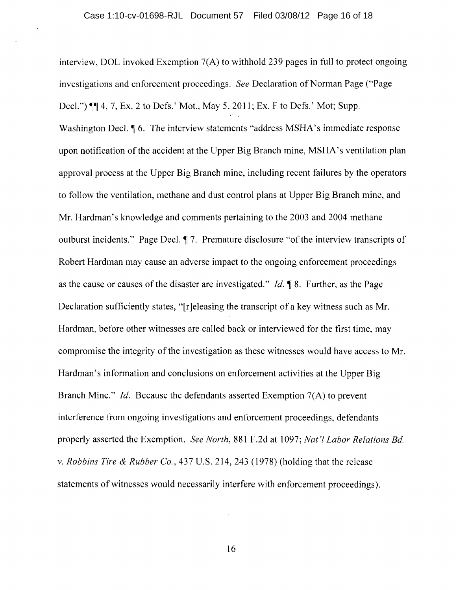interview, DOL invoked Exemption 7(A) to withhold 239 pages in full to protect ongoing investigations and enforcement proceedings. *See* Declaration of Norman Page ("Page Decl.")  $\mathbb{I}$  4, 7, Ex. 2 to Defs.' Mot., May 5, 2011; Ex. F to Defs.' Mot; Supp. Washington Decl.  $\parallel 6$ . The interview statements "address MSHA's immediate response upon notification of the accident at the Upper Big Branch mine, MSHA's ventilation plan approval process at the Upper Big Branch mine, including recent failures by the operators to follow the ventilation, methane and dust control plans at Upper Big Branch mine, and Mr. Hardman's knowledge and comments pertaining to the 2003 and 2004 methane outburst incidents." Page Decl.  $\P$  7. Premature disclosure "of the interview transcripts of Robert Hardman may cause an adverse impact to the ongoing enforcement proceedings as the cause or causes of the disaster are investigated." *Id.* 98. Further, as the Page Declaration sufficiently states, "[r]eleasing the transcript of a key witness such as Mr. Hardman, before other witnesses are called back or interviewed for the first time, may compromise the integrity of the investigation as these witnesses would have access to Mr. Hardman's information and conclusions on enforcement activities at the Upper Big Branch Mine." *Id.* Because the defendants asserted Exemption 7(A) to prevent interference from ongoing investigations and enforcement proceedings, defendants properly asserted the Exemption. *See North,* 881 F .2d at 1097; *Nat* 'I *Labor Relations Bd.*  v. *Robbins Tire* & *Rubber Co.,* 437 U.S. 214, 243 (1978) (holding that the release statements of witnesses would necessarily interfere with enforcement proceedings).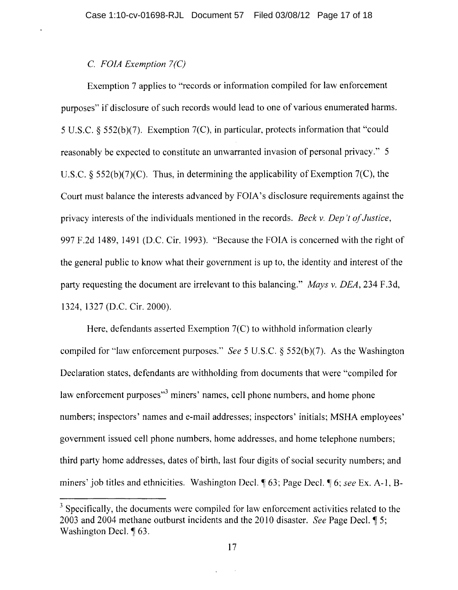# C. *FOIA Exemption* 7 *(C)*

Exemption 7 applies to "records or information compiled for law enforcement purposes" if disclosure of such records would lead to one of various enumerated harms. 5 U.S.c. § 552(b)(7). Exemption 7(C), in particular, protects information that "could reasonably be expected to constitute an unwarranted invasion of personal privacy." 5 U.S.C.  $\S$  552(b)(7)(C). Thus, in determining the applicability of Exemption 7(C), the Court must balance the interests advanced by FOIA's disclosure requirements against the privacy interests of the individuals mentioned in the records. *Beck* v. *Dep* 'f *of Justice,*  997 F.2d 1489, 1491 (D.C. Cir. 1993). "Because the FOIA is concerned with the right of the general public to know what their government is up to, the identity and interest of the party requesting the document are irrelevant to this balancing." *Mays* v. *DEA,* 234 F.3d, 1324, 1327 (D.C. Cir. 2000).

Here, defendants asserted Exemption 7(C) to withhold information clearly compiled for "law enforcement purposes." *See* 5 U.S.C. § 552(b)(7). As the Washington Declaration states, defendants are withholding from documents that were "compiled for law enforcement purposes<sup>3</sup> miners' names, cell phone numbers, and home phone numbers; inspectors' names and e-mail addresses; inspectors' initials; MSHA employees' government issued cell phone numbers, home addresses, and home telephone numbers; third party home addresses, dates of birth, last four digits of social security numbers; and miners' job titles and ethnicities. Washington Decl.  $\sqrt{63}$ ; Page Decl.  $\sqrt{6}$  6; *see* Ex. A-1, B-

 $3$  Specifically, the documents were compiled for law enforcement activities related to the 2003 and 2004 methane outburst incidents and the 2010 disaster. *See* Page Decl.  $\parallel$  5; Washington Decl. 163.